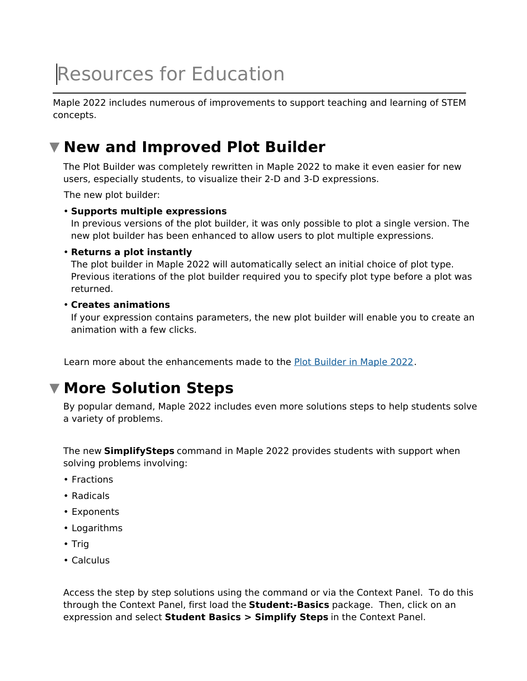# Resources for Education

Maple 2022 includes numerous of improvements to support teaching and learning of STEM concepts.

## **New and Improved Plot Builder**

The Plot Builder was completely rewritten in Maple 2022 to make it even easier for new users, especially students, to visualize their 2-D and 3-D expressions.

The new plot builder:

#### **Supports multiple expressions** •

In previous versions of the plot builder, it was only possible to plot a single version. The new plot builder has been enhanced to allow users to plot multiple expressions.

#### **Returns a plot instantly** •

The plot builder in Maple 2022 will automatically select an initial choice of plot type. Previous iterations of the plot builder required you to specify plot type before a plot was returned.

#### **Creates animations** •

If your expression contains parameters, the new plot builder will enable you to create an animation with a few clicks.

Learn more about the enhancements made to the Plot Builder in Maple 2022.

### **More Solution Steps**

By popular demand, Maple 2022 includes even more solutions steps to help students solve a variety of problems.

The new **SimplifySteps** command in Maple 2022 provides students with support when solving problems involving:

- Fractions
- Radicals
- Exponents
- Logarithms
- Trig
- Calculus

Access the step by step solutions using the command or via the Context Panel. To do this through the Context Panel, first load the **Student:-Basics** package. Then, click on an expression and select **Student Basics > Simplify Steps** in the Context Panel.